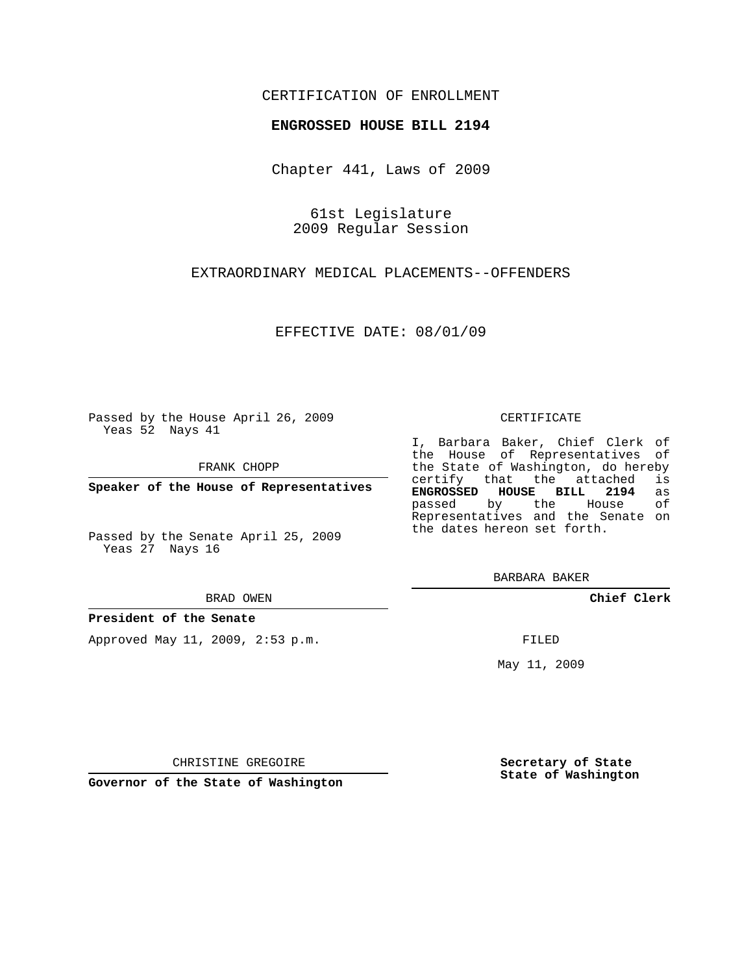## CERTIFICATION OF ENROLLMENT

### **ENGROSSED HOUSE BILL 2194**

Chapter 441, Laws of 2009

61st Legislature 2009 Regular Session

EXTRAORDINARY MEDICAL PLACEMENTS--OFFENDERS

EFFECTIVE DATE: 08/01/09

Passed by the House April 26, 2009 Yeas 52 Nays 41

FRANK CHOPP

**Speaker of the House of Representatives**

Passed by the Senate April 25, 2009 Yeas 27 Nays 16

#### BRAD OWEN

#### **President of the Senate**

Approved May 11, 2009, 2:53 p.m.

#### CERTIFICATE

I, Barbara Baker, Chief Clerk of the House of Representatives of the State of Washington, do hereby<br>certify that the attached is certify that the attached **ENGROSSED HOUSE BILL 2194** as passed by the House Representatives and the Senate on the dates hereon set forth.

BARBARA BAKER

**Chief Clerk**

FILED

May 11, 2009

**Secretary of State State of Washington**

CHRISTINE GREGOIRE

**Governor of the State of Washington**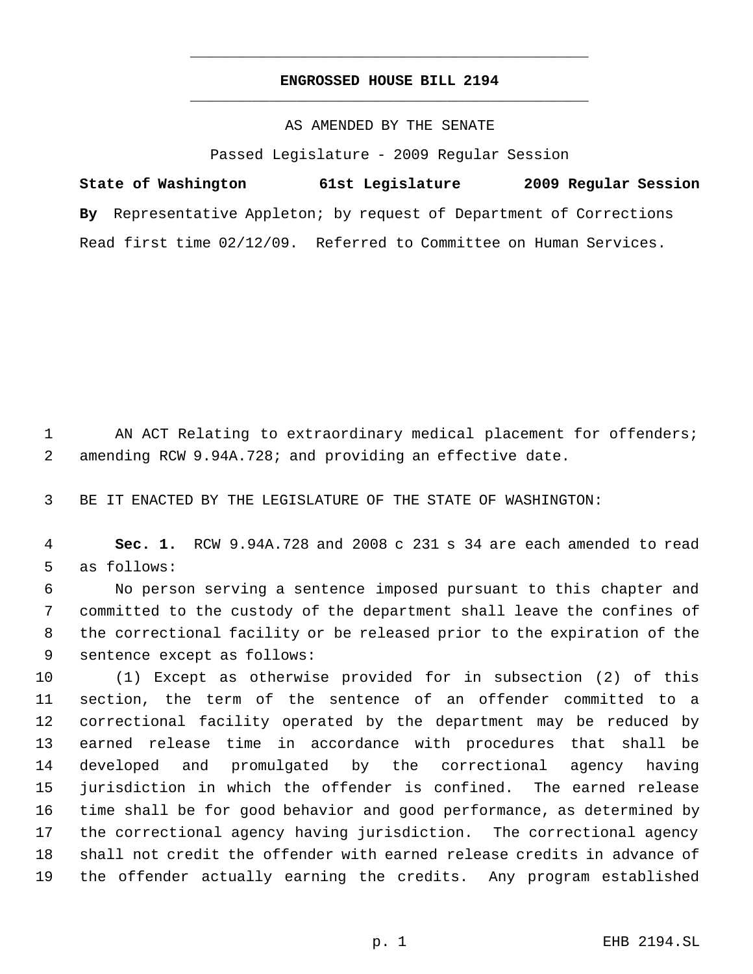# **ENGROSSED HOUSE BILL 2194** \_\_\_\_\_\_\_\_\_\_\_\_\_\_\_\_\_\_\_\_\_\_\_\_\_\_\_\_\_\_\_\_\_\_\_\_\_\_\_\_\_\_\_\_\_

\_\_\_\_\_\_\_\_\_\_\_\_\_\_\_\_\_\_\_\_\_\_\_\_\_\_\_\_\_\_\_\_\_\_\_\_\_\_\_\_\_\_\_\_\_

### AS AMENDED BY THE SENATE

Passed Legislature - 2009 Regular Session

**State of Washington 61st Legislature 2009 Regular Session By** Representative Appleton; by request of Department of Corrections Read first time 02/12/09. Referred to Committee on Human Services.

1 AN ACT Relating to extraordinary medical placement for offenders; amending RCW 9.94A.728; and providing an effective date.

BE IT ENACTED BY THE LEGISLATURE OF THE STATE OF WASHINGTON:

 **Sec. 1.** RCW 9.94A.728 and 2008 c 231 s 34 are each amended to read as follows:

 No person serving a sentence imposed pursuant to this chapter and committed to the custody of the department shall leave the confines of the correctional facility or be released prior to the expiration of the sentence except as follows:

 (1) Except as otherwise provided for in subsection (2) of this section, the term of the sentence of an offender committed to a correctional facility operated by the department may be reduced by earned release time in accordance with procedures that shall be developed and promulgated by the correctional agency having jurisdiction in which the offender is confined. The earned release time shall be for good behavior and good performance, as determined by the correctional agency having jurisdiction. The correctional agency shall not credit the offender with earned release credits in advance of the offender actually earning the credits. Any program established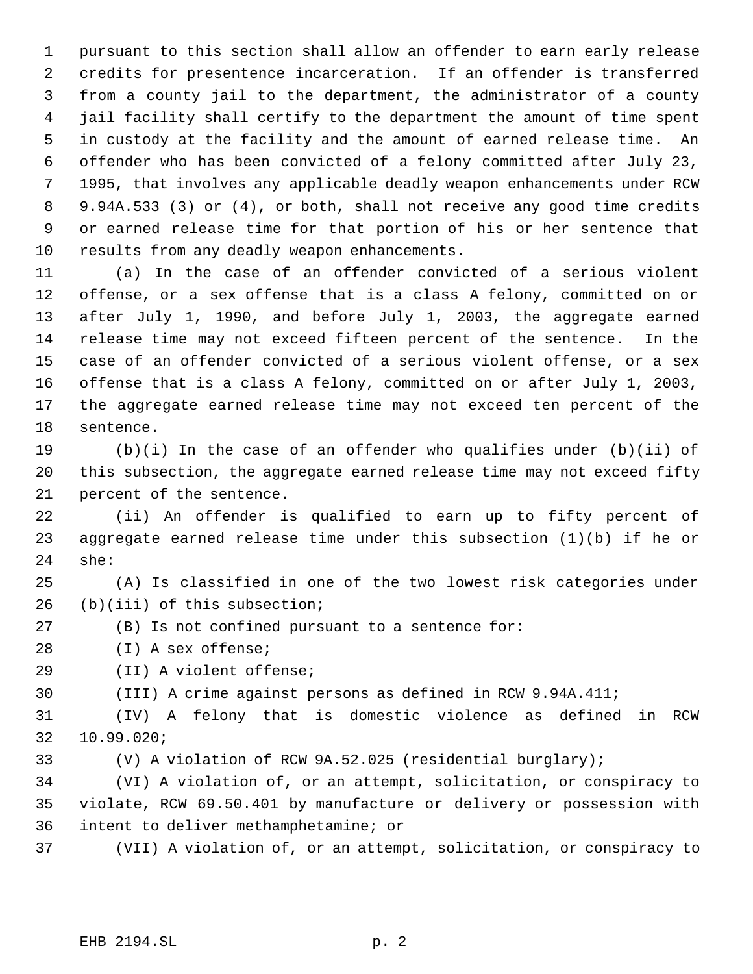pursuant to this section shall allow an offender to earn early release credits for presentence incarceration. If an offender is transferred from a county jail to the department, the administrator of a county jail facility shall certify to the department the amount of time spent in custody at the facility and the amount of earned release time. An offender who has been convicted of a felony committed after July 23, 1995, that involves any applicable deadly weapon enhancements under RCW 9.94A.533 (3) or (4), or both, shall not receive any good time credits or earned release time for that portion of his or her sentence that results from any deadly weapon enhancements.

 (a) In the case of an offender convicted of a serious violent offense, or a sex offense that is a class A felony, committed on or after July 1, 1990, and before July 1, 2003, the aggregate earned release time may not exceed fifteen percent of the sentence. In the case of an offender convicted of a serious violent offense, or a sex offense that is a class A felony, committed on or after July 1, 2003, the aggregate earned release time may not exceed ten percent of the sentence.

 (b)(i) In the case of an offender who qualifies under (b)(ii) of this subsection, the aggregate earned release time may not exceed fifty percent of the sentence.

 (ii) An offender is qualified to earn up to fifty percent of aggregate earned release time under this subsection (1)(b) if he or she:

 (A) Is classified in one of the two lowest risk categories under (b)(iii) of this subsection;

(B) Is not confined pursuant to a sentence for:

(I) A sex offense;

(II) A violent offense;

(III) A crime against persons as defined in RCW 9.94A.411;

 (IV) A felony that is domestic violence as defined in RCW 10.99.020;

(V) A violation of RCW 9A.52.025 (residential burglary);

 (VI) A violation of, or an attempt, solicitation, or conspiracy to violate, RCW 69.50.401 by manufacture or delivery or possession with intent to deliver methamphetamine; or

(VII) A violation of, or an attempt, solicitation, or conspiracy to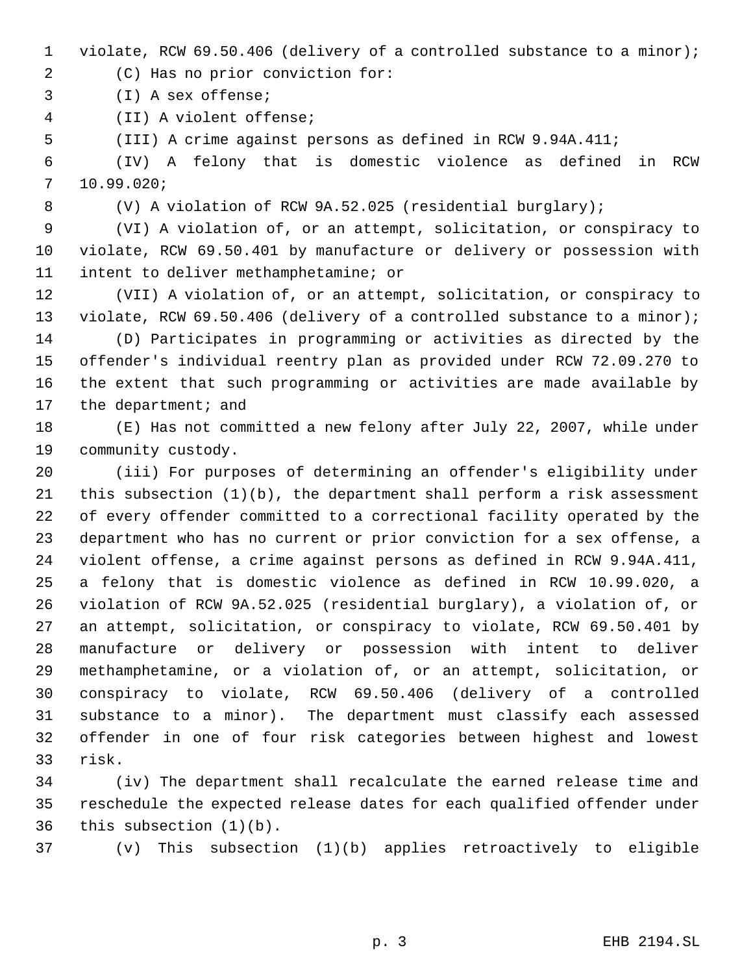- violate, RCW 69.50.406 (delivery of a controlled substance to a minor);
- (C) Has no prior conviction for:
- (I) A sex offense;
- (II) A violent offense;
- (III) A crime against persons as defined in RCW 9.94A.411;

 (IV) A felony that is domestic violence as defined in RCW 10.99.020;

(V) A violation of RCW 9A.52.025 (residential burglary);

 (VI) A violation of, or an attempt, solicitation, or conspiracy to violate, RCW 69.50.401 by manufacture or delivery or possession with intent to deliver methamphetamine; or

 (VII) A violation of, or an attempt, solicitation, or conspiracy to violate, RCW 69.50.406 (delivery of a controlled substance to a minor);

 (D) Participates in programming or activities as directed by the offender's individual reentry plan as provided under RCW 72.09.270 to the extent that such programming or activities are made available by the department; and

 (E) Has not committed a new felony after July 22, 2007, while under community custody.

 (iii) For purposes of determining an offender's eligibility under this subsection (1)(b), the department shall perform a risk assessment of every offender committed to a correctional facility operated by the department who has no current or prior conviction for a sex offense, a violent offense, a crime against persons as defined in RCW 9.94A.411, a felony that is domestic violence as defined in RCW 10.99.020, a violation of RCW 9A.52.025 (residential burglary), a violation of, or an attempt, solicitation, or conspiracy to violate, RCW 69.50.401 by manufacture or delivery or possession with intent to deliver methamphetamine, or a violation of, or an attempt, solicitation, or conspiracy to violate, RCW 69.50.406 (delivery of a controlled substance to a minor). The department must classify each assessed offender in one of four risk categories between highest and lowest risk.

 (iv) The department shall recalculate the earned release time and reschedule the expected release dates for each qualified offender under this subsection (1)(b).

(v) This subsection (1)(b) applies retroactively to eligible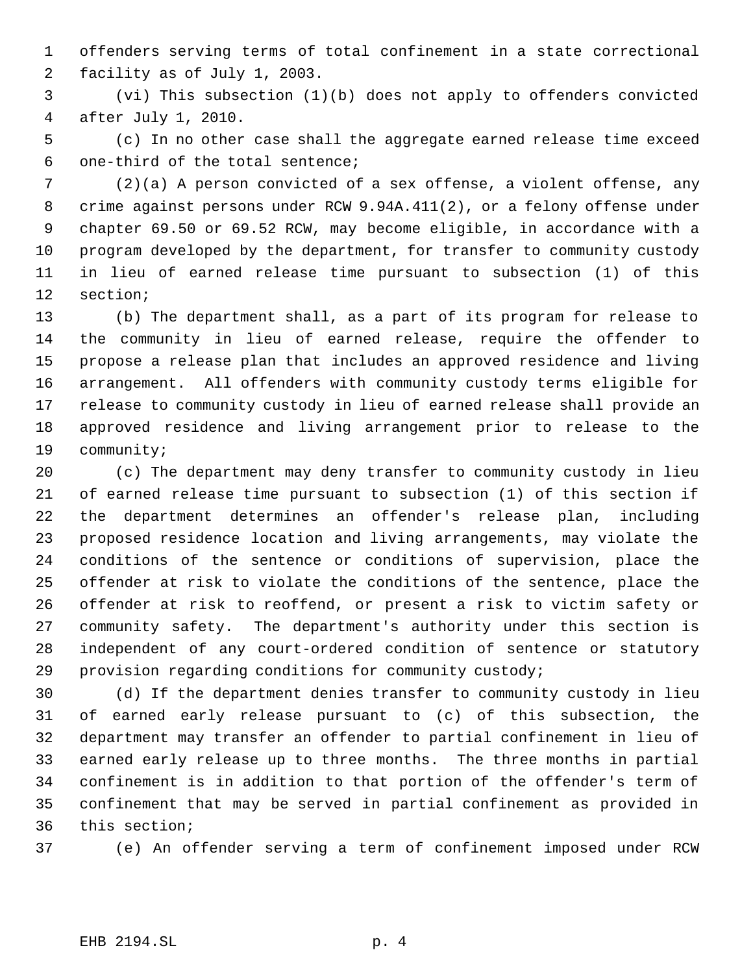offenders serving terms of total confinement in a state correctional facility as of July 1, 2003.

 (vi) This subsection (1)(b) does not apply to offenders convicted after July 1, 2010.

 (c) In no other case shall the aggregate earned release time exceed one-third of the total sentence;

 (2)(a) A person convicted of a sex offense, a violent offense, any crime against persons under RCW 9.94A.411(2), or a felony offense under chapter 69.50 or 69.52 RCW, may become eligible, in accordance with a program developed by the department, for transfer to community custody in lieu of earned release time pursuant to subsection (1) of this section;

 (b) The department shall, as a part of its program for release to the community in lieu of earned release, require the offender to propose a release plan that includes an approved residence and living arrangement. All offenders with community custody terms eligible for release to community custody in lieu of earned release shall provide an approved residence and living arrangement prior to release to the community;

 (c) The department may deny transfer to community custody in lieu of earned release time pursuant to subsection (1) of this section if the department determines an offender's release plan, including proposed residence location and living arrangements, may violate the conditions of the sentence or conditions of supervision, place the offender at risk to violate the conditions of the sentence, place the offender at risk to reoffend, or present a risk to victim safety or community safety. The department's authority under this section is independent of any court-ordered condition of sentence or statutory provision regarding conditions for community custody;

 (d) If the department denies transfer to community custody in lieu of earned early release pursuant to (c) of this subsection, the department may transfer an offender to partial confinement in lieu of earned early release up to three months. The three months in partial confinement is in addition to that portion of the offender's term of confinement that may be served in partial confinement as provided in this section;

(e) An offender serving a term of confinement imposed under RCW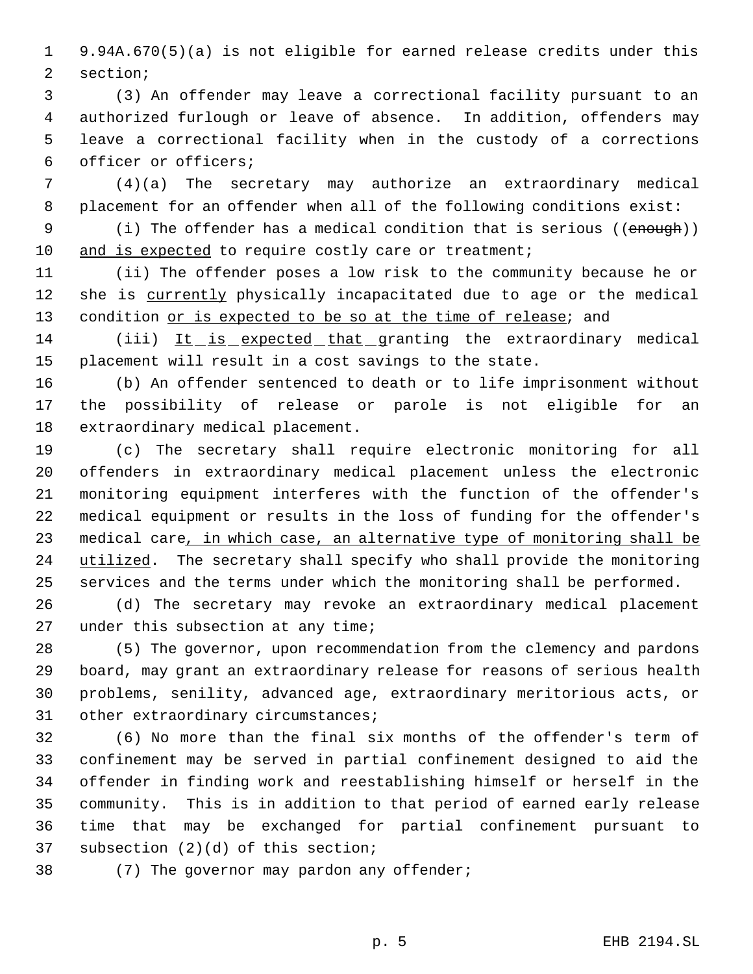9.94A.670(5)(a) is not eligible for earned release credits under this section;

 (3) An offender may leave a correctional facility pursuant to an authorized furlough or leave of absence. In addition, offenders may leave a correctional facility when in the custody of a corrections officer or officers;

 (4)(a) The secretary may authorize an extraordinary medical placement for an offender when all of the following conditions exist:

9 (i) The offender has a medical condition that is serious ((enough)) 10 and is expected to require costly care or treatment;

 (ii) The offender poses a low risk to the community because he or 12 she is currently physically incapacitated due to age or the medical 13 condition or is expected to be so at the time of release; and

 (iii) It is expected that granting the extraordinary medical placement will result in a cost savings to the state.

 (b) An offender sentenced to death or to life imprisonment without the possibility of release or parole is not eligible for an extraordinary medical placement.

 (c) The secretary shall require electronic monitoring for all offenders in extraordinary medical placement unless the electronic monitoring equipment interferes with the function of the offender's medical equipment or results in the loss of funding for the offender's 23 medical care, in which case, an alternative type of monitoring shall be 24 utilized. The secretary shall specify who shall provide the monitoring services and the terms under which the monitoring shall be performed.

 (d) The secretary may revoke an extraordinary medical placement 27 under this subsection at any time;

 (5) The governor, upon recommendation from the clemency and pardons board, may grant an extraordinary release for reasons of serious health problems, senility, advanced age, extraordinary meritorious acts, or 31 other extraordinary circumstances;

 (6) No more than the final six months of the offender's term of confinement may be served in partial confinement designed to aid the offender in finding work and reestablishing himself or herself in the community. This is in addition to that period of earned early release time that may be exchanged for partial confinement pursuant to subsection (2)(d) of this section;

38 (7) The governor may pardon any offender;